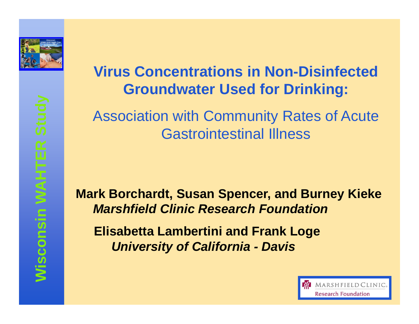

#### **Virus Concentrations in Non-Disinfected Groundwater Used for Drinking:**

Association with Community Rates of Acute Gastrointestinal Illness

**Mark Borchardt, Susan Spencer, and Burney KiekeMarshfield Clinic Research Foundation**

**Elisabetta Lambertini and Frank LogeUniversity of California - Davis**

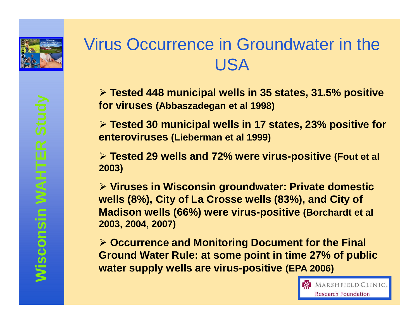

#### Virus Occurrence in Groundwater in the USA

 **Tested 448 municipal wells in 35 states, 31.5% positive for viruses (Abbaszadegan et al 1998)**

 **Tested 30 municipal wells in 17 states, 23% positive for enteroviruses (Lieberman et al 1999)**

 **Tested 29 wells and 72% were virus -positive (Fout et al 2003)**

 **Viruses in Wisconsin groundwater: Private domestic wells (8%), City of La Crosse wells (83%), and City of Madison wells (66%) were virus-positive (Borchardt et al 2003, 2004, 2007)**

 **Occurrence and Monitoring Document for the Final Ground Water Rule: at some point in time 27% of public water supply wells are virus-positive (EPA 2006)**

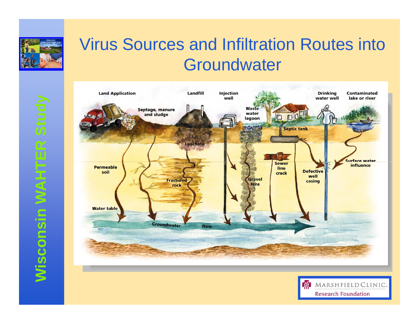

### Virus Sources and Infiltration Routes into **Groundwater**



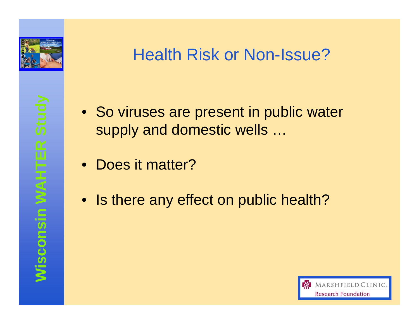

### Health Risk or Non-Issue?

- So viruses are present in public water supply and domestic wells …
- Does it matter?
- Is there any effect on public health?

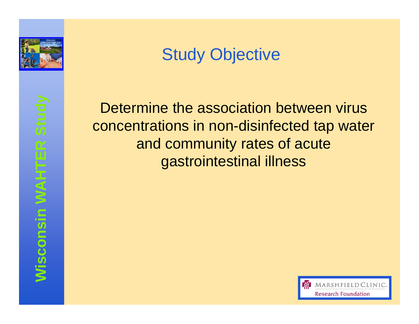

# Study Objective

**WEST Determine the association between virus**<br>concentrations in non-disinfected tap water<br>and community rates of acute<br>gastrointestinal illness<br>seconds<br>in the gastrointestinal illness<br>seconds<br>in the second term of the gas

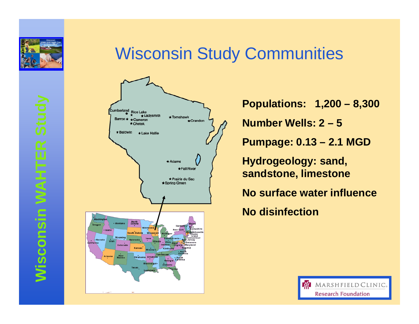

#### Wisconsin Study Communities



**Populations: 1,200 – 8,300**

**Number Wells: 2 – 5**

**Pumpage: 0.13 – 2.1 MGD**

**Hydrogeology: sand, sandstone, limestone**

**No surface water influence**

**No disinfection**

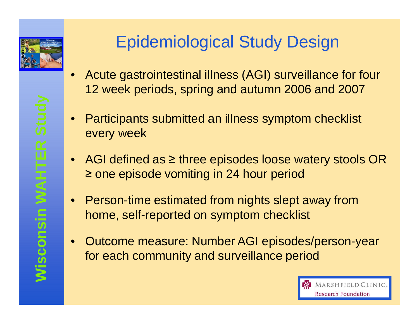

#### Epidemiological Study Design

- • Acute gastrointestinal illness (AGI) surveillance for four 12 week periods, spring and autumn 2006 and 2007
- • Participants submitted an illness symptom checklist every week
- AGI defined as ≥ three episodes loose watery stools OR ≥ one episode vomiting in 24 hour period
- Person-time estimated from nights slept away from home, self-reported on symptom checklist
- Outcome measure: Number AGI episodes/person-year for each community and surveillance period

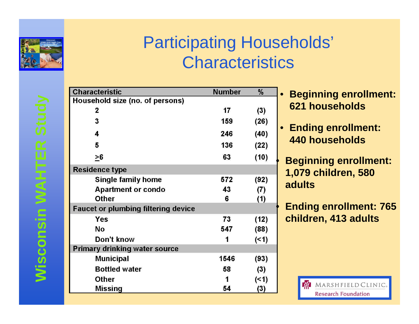

**Wisconsin WAHTER Study**

Wisconsin WAHTER Study

# Participating Households' **Characteristics**

| <b>Characteristic</b>                      | <b>Number</b> | $\frac{0}{0}$ |  |  |  |
|--------------------------------------------|---------------|---------------|--|--|--|
| Household size (no. of persons)            |               |               |  |  |  |
| 2                                          | 17            | (3)           |  |  |  |
| 3                                          | 159           | (26)          |  |  |  |
| 4                                          | 246           | (40)          |  |  |  |
| 5                                          | 136           | (22)          |  |  |  |
| $\geq 6$                                   | 63            | (10)          |  |  |  |
| <b>Residence type</b>                      |               |               |  |  |  |
| <b>Single family home</b>                  | 572           | (92)          |  |  |  |
| <b>Apartment or condo</b>                  | 43            | (7)           |  |  |  |
| <b>Other</b>                               | 6             | (1)           |  |  |  |
| <b>Faucet or plumbing filtering device</b> |               |               |  |  |  |
| <b>Yes</b>                                 | 73            | (12)          |  |  |  |
| <b>No</b>                                  | 547           | (88)          |  |  |  |
| Don't know                                 |               | ( < 1)        |  |  |  |
| <b>Primary drinking water source</b>       |               |               |  |  |  |
| <b>Municipal</b>                           | 1546          | (93)          |  |  |  |
| <b>Bottled water</b>                       | 58            | (3)           |  |  |  |
| <b>Other</b>                               |               | (51)          |  |  |  |
| Missing                                    | 54            | (3)           |  |  |  |

- $\bullet$  **Beginning enrollment: 621 households**
- **Ending enrollment: 440 households**

 **Beginning enrollment: 1,079 children, 580 adults**

 **Ending enrollment: 765 children, 413 adults**

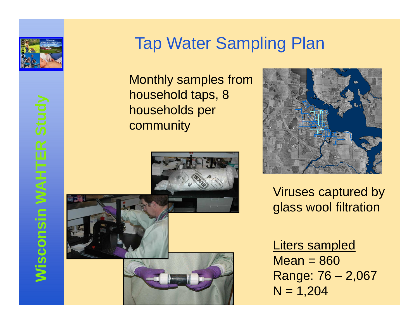

#### Tap Water Sampling Plan

Monthly samples from household taps, 8 households per community





Viruses captured by glass wool filtration

Liters sampled $Mean = 860$  Range: 76 – 2,067 $N = 1,204$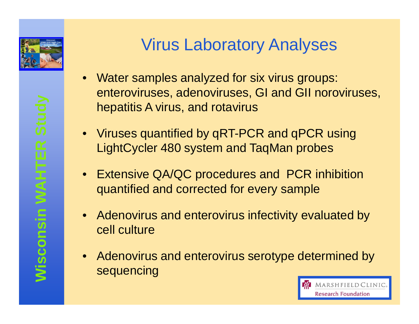

#### Virus Laboratory Analyses

- $\bullet$  Water samples analyzed for six virus groups: enteroviruses, adenoviruses, GI and GII noroviruses, hepatitis A virus, and rotavirus
- Viruses quantified by qRT-PCR and qPCR using LightCycler 480 system and TaqMan probes
- Extensive QA/QC procedures and PCR inhibition quantified and corrected for every sample
- Adenovirus and enterovirus infectivity evaluated by<br>cell culture
- Adenovirus and enterovirus serotype determined by sequencing

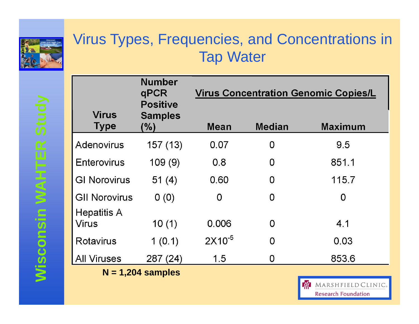

#### Virus Types, Frequencies, and Concentrations in Tap Water

| <b>Virus</b>         | <b>Number</b><br>qPCR<br><b>Positive</b><br><b>Samples</b> | <b>Virus Concentration Genomic Copies/L</b> |               |                                 |
|----------------------|------------------------------------------------------------|---------------------------------------------|---------------|---------------------------------|
| <b>Type</b>          | (%)                                                        | Mean                                        | <b>Median</b> | <b>Maximum</b>                  |
| Adenovirus           | 157 (13)                                                   | 0.07                                        | 0             | 9.5                             |
| Enterovirus          | 109(9)                                                     | 0.8                                         | 0             | 851.1                           |
| <b>GI Norovirus</b>  | 51 $(4)$                                                   | 0.60                                        | 0             | 115.7                           |
| <b>GII Norovirus</b> | 0(0)                                                       | 0                                           | 0             | 0                               |
| <b>Hepatitis A</b>   |                                                            |                                             |               |                                 |
| <b>Virus</b>         | 10(1)                                                      | 0.006                                       | 0             | 4.1                             |
| <b>Rotavirus</b>     | 1(0.1)                                                     | $2X10^{-5}$                                 | 0             | 0.03                            |
| <b>All Viruses</b>   | 287(24)                                                    | 1.5                                         | O             | 853.6                           |
|                      | $N = 1,204$ samples                                        |                                             |               |                                 |
|                      |                                                            |                                             |               | <b>C/</b><br>MARSHFIELD CLINIC. |

**Research Foundation**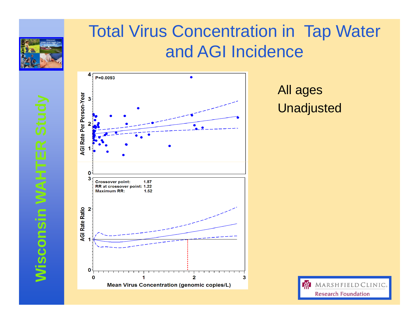

### Total Virus Concentration in Tap Waterand AGI Incidence



#### All ages Unadjusted

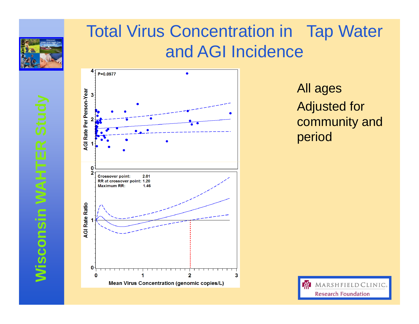

### Total Virus Concentration in Tap Waterand AGI Incidence



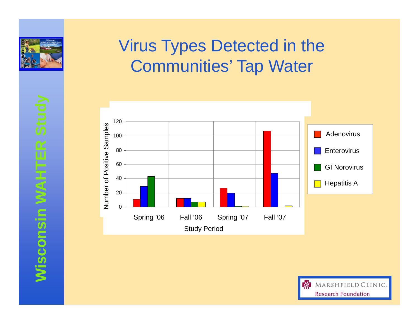

# **Wisconsin WAHTER Study**

# Virus Types Detected in the Communities' Tap Water



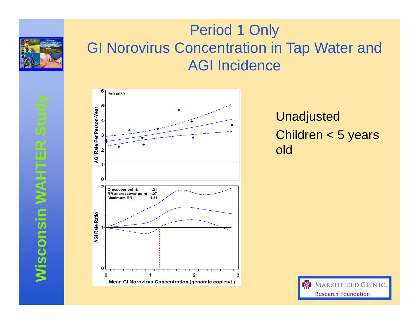

#### Period 1 Only GI Norovirus Concentration in Tap Water and AGI Incidence



UnadjustedChildren < 5 years old

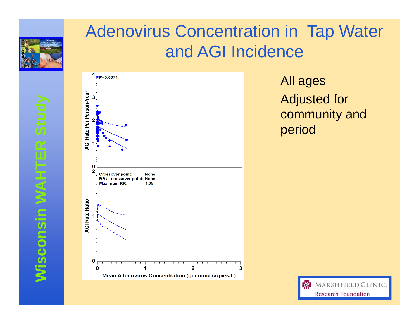

#### Adenovirus Concentration in Tap Water and AGI Incidence



All ages Adjusted for community and period

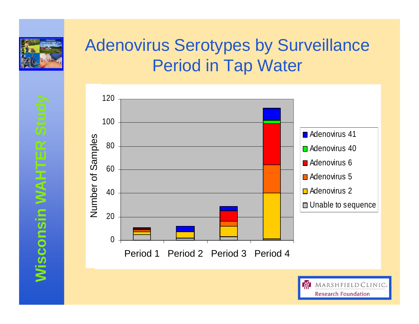

# Adenovirus Serotypes by Surveillance Period in Tap Water



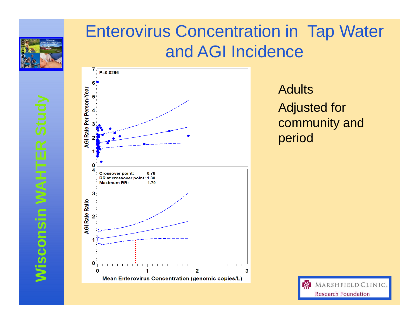

**Wisconsin WAHTER Study**

**Wisconsin WAHTER Study** 

### Enterovirus Concentration in Tap Water and AGI Incidence



**Adults** Adjusted for community and period

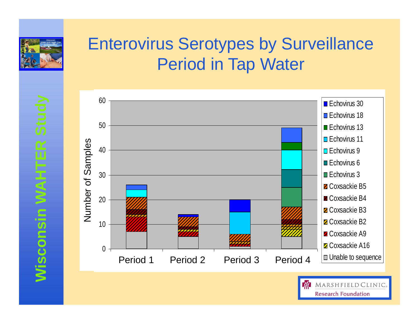

# Enterovirus Serotypes by Surveillance Period in Tap Water



**Wisconsin WAHTER Study** 

**Research Foundation**